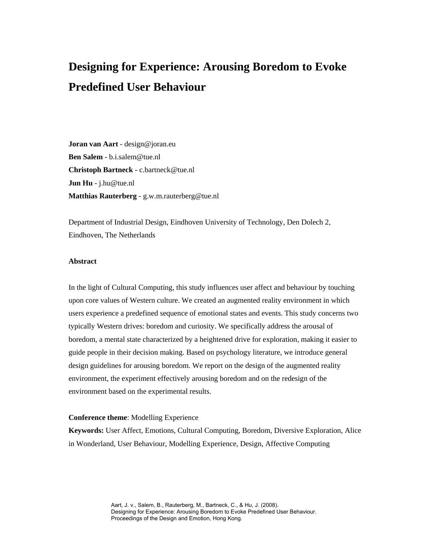# **Designing for Experience: Arousing Boredom to Evoke Predefined User Behaviour**

**Joran van Aart** - design@joran.eu **Ben Salem** - b.i.salem@tue.nl **Christoph Bartneck** - c.bartneck@tue.nl **Jun Hu** - j.hu@tue.nl **Matthias Rauterberg** - g.w.m.rauterberg@tue.nl

Department of Industrial Design, Eindhoven University of Technology, Den Dolech 2, Eindhoven, The Netherlands

## **Abstract**

In the light of Cultural Computing, this study influences user affect and behaviour by touching upon core values of Western culture. We created an augmented reality environment in which users experience a predefined sequence of emotional states and events. This study concerns two typically Western drives: boredom and curiosity. We specifically address the arousal of boredom, a mental state characterized by a heightened drive for exploration, making it easier to guide people in their decision making. Based on psychology literature, we introduce general design guidelines for arousing boredom. We report on the design of the augmented reality environment, the experiment effectively arousing boredom and on the redesign of the environment based on the experimental results.

#### **Conference theme**: Modelling Experience

**Keywords:** User Affect, Emotions, Cultural Computing, Boredom, Diversive Exploration, Alice in Wonderland, User Behaviour, Modelling Experience, Design, Affective Computing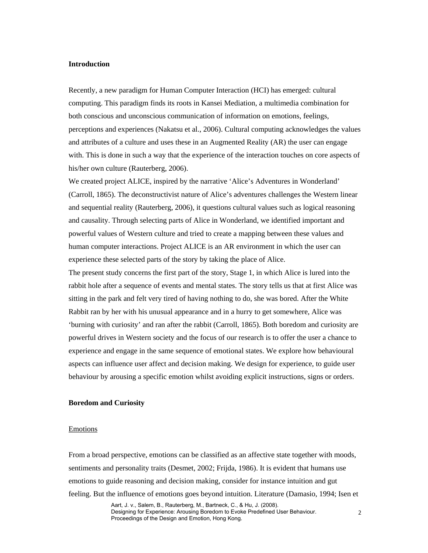#### **Introduction**

Recently, a new paradigm for Human Computer Interaction (HCI) has emerged: cultural computing. This paradigm finds its roots in Kansei Mediation, a multimedia combination for both conscious and unconscious communication of information on emotions, feelings, perceptions and experiences (Nakatsu et al., 2006). Cultural computing acknowledges the values and attributes of a culture and uses these in an Augmented Reality (AR) the user can engage with. This is done in such a way that the experience of the interaction touches on core aspects of his/her own culture (Rauterberg, 2006).

We created project ALICE, inspired by the narrative 'Alice's Adventures in Wonderland' (Carroll, 1865). The deconstructivist nature of Alice's adventures challenges the Western linear and sequential reality (Rauterberg, 2006), it questions cultural values such as logical reasoning and causality. Through selecting parts of Alice in Wonderland, we identified important and powerful values of Western culture and tried to create a mapping between these values and human computer interactions. Project ALICE is an AR environment in which the user can experience these selected parts of the story by taking the place of Alice.

The present study concerns the first part of the story, Stage 1, in which Alice is lured into the rabbit hole after a sequence of events and mental states. The story tells us that at first Alice was sitting in the park and felt very tired of having nothing to do, she was bored. After the White Rabbit ran by her with his unusual appearance and in a hurry to get somewhere, Alice was 'burning with curiosity' and ran after the rabbit (Carroll, 1865). Both boredom and curiosity are powerful drives in Western society and the focus of our research is to offer the user a chance to experience and engage in the same sequence of emotional states. We explore how behavioural aspects can influence user affect and decision making. We design for experience, to guide user behaviour by arousing a specific emotion whilst avoiding explicit instructions, signs or orders.

## **Boredom and Curiosity**

#### Emotions

From a broad perspective, emotions can be classified as an affective state together with moods, sentiments and personality traits (Desmet, 2002; Frijda, 1986). It is evident that humans use emotions to guide reasoning and decision making, consider for instance intuition and gut feeling. But the influence of emotions goes beyond intuition. Literature (Damasio, 1994; Isen et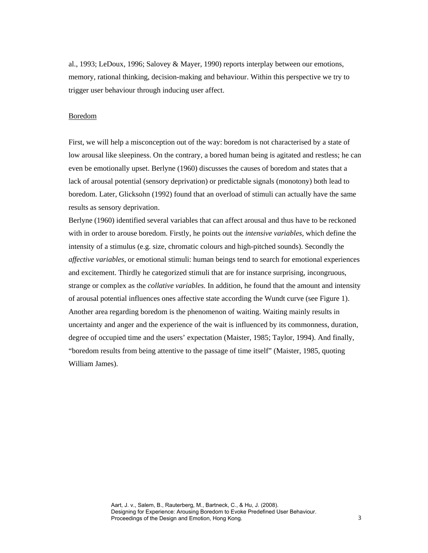al., 1993; LeDoux, 1996; Salovey & Mayer, 1990) reports interplay between our emotions, memory, rational thinking, decision-making and behaviour. Within this perspective we try to trigger user behaviour through inducing user affect.

### Boredom

First, we will help a misconception out of the way: boredom is not characterised by a state of low arousal like sleepiness. On the contrary, a bored human being is agitated and restless; he can even be emotionally upset. Berlyne (1960) discusses the causes of boredom and states that a lack of arousal potential (sensory deprivation) or predictable signals (monotony) both lead to boredom. Later, Glicksohn (1992) found that an overload of stimuli can actually have the same results as sensory deprivation.

Berlyne (1960) identified several variables that can affect arousal and thus have to be reckoned with in order to arouse boredom. Firstly, he points out the *intensive variables*, which define the intensity of a stimulus (e.g. size, chromatic colours and high-pitched sounds). Secondly the *affective variables*, or emotional stimuli: human beings tend to search for emotional experiences and excitement. Thirdly he categorized stimuli that are for instance surprising, incongruous, strange or complex as the *collative variables.* In addition, he found that the amount and intensity of arousal potential influences ones affective state according the Wundt curve (see Figure 1). Another area regarding boredom is the phenomenon of waiting. Waiting mainly results in uncertainty and anger and the experience of the wait is influenced by its commonness, duration, degree of occupied time and the users' expectation (Maister, 1985; Taylor, 1994). And finally, "boredom results from being attentive to the passage of time itself" (Maister, 1985, quoting William James).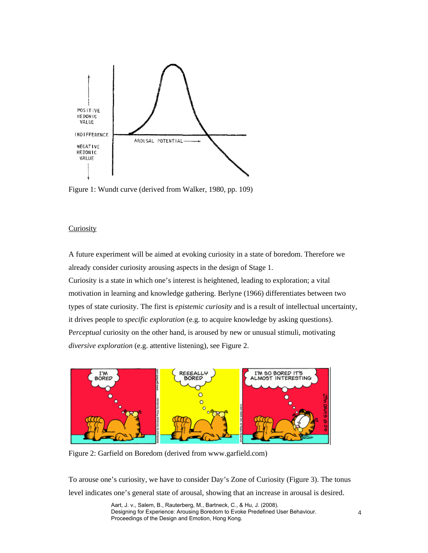

Figure 1: Wundt curve (derived from Walker, 1980, pp. 109)

## **Curiosity**

A future experiment will be aimed at evoking curiosity in a state of boredom. Therefore we already consider curiosity arousing aspects in the design of Stage 1.

Curiosity is a state in which one's interest is heightened, leading to exploration; a vital motivation in learning and knowledge gathering. Berlyne (1966) differentiates between two types of state curiosity. The first is *epistemic curiosity* and is a result of intellectual uncertainty, it drives people to *specific exploration* (e.g. to acquire knowledge by asking questions). P*erceptual* curiosity on the other hand, is aroused by new or unusual stimuli, motivating *diversive exploration* (e.g. attentive listening), see Figure 2.



Figure 2: Garfield on Boredom (derived from www.garfield.com)

To arouse one's curiosity, we have to consider Day's Zone of Curiosity (Figure 3). The tonus level indicates one's general state of arousal, showing that an increase in arousal is desired.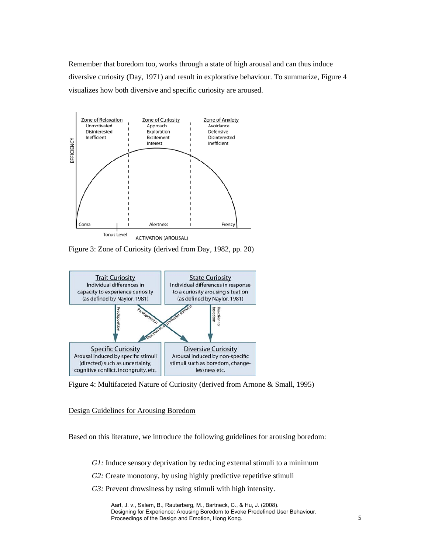Remember that boredom too, works through a state of high arousal and can thus induce diversive curiosity (Day, 1971) and result in explorative behaviour. To summarize, Figure 4 visualizes how both diversive and specific curiosity are aroused.



Figure 3: Zone of Curiosity (derived from Day, 1982, pp. 20)



Figure 4: Multifaceted Nature of Curiosity (derived from Arnone & Small, 1995)

Design Guidelines for Arousing Boredom

Based on this literature, we introduce the following guidelines for arousing boredom:

*G1:* Induce sensory deprivation by reducing external stimuli to a minimum

- *G2:* Create monotony, by using highly predictive repetitive stimuli
- *G3:* Prevent drowsiness by using stimuli with high intensity.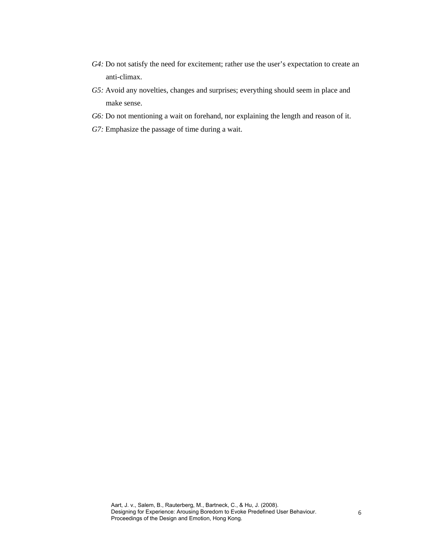- *G4:* Do not satisfy the need for excitement; rather use the user's expectation to create an anti-climax.
- *G5:* Avoid any novelties, changes and surprises; everything should seem in place and make sense.
- *G6:* Do not mentioning a wait on forehand, nor explaining the length and reason of it.
- *G7:* Emphasize the passage of time during a wait.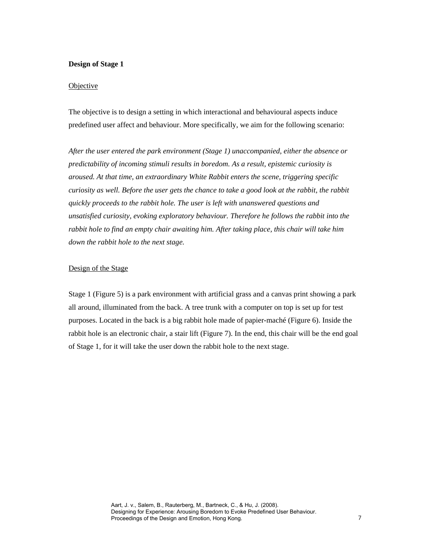## **Design of Stage 1**

## **Objective**

The objective is to design a setting in which interactional and behavioural aspects induce predefined user affect and behaviour. More specifically, we aim for the following scenario:

*After the user entered the park environment (Stage 1) unaccompanied, either the absence or predictability of incoming stimuli results in boredom. As a result, epistemic curiosity is aroused. At that time, an extraordinary White Rabbit enters the scene, triggering specific curiosity as well. Before the user gets the chance to take a good look at the rabbit, the rabbit quickly proceeds to the rabbit hole. The user is left with unanswered questions and unsatisfied curiosity, evoking exploratory behaviour. Therefore he follows the rabbit into the rabbit hole to find an empty chair awaiting him. After taking place, this chair will take him down the rabbit hole to the next stage.* 

# Design of the Stage

Stage 1 (Figure 5) is a park environment with artificial grass and a canvas print showing a park all around, illuminated from the back. A tree trunk with a computer on top is set up for test purposes. Located in the back is a big rabbit hole made of papier-maché (Figure 6). Inside the rabbit hole is an electronic chair, a stair lift (Figure 7). In the end, this chair will be the end goal of Stage 1, for it will take the user down the rabbit hole to the next stage.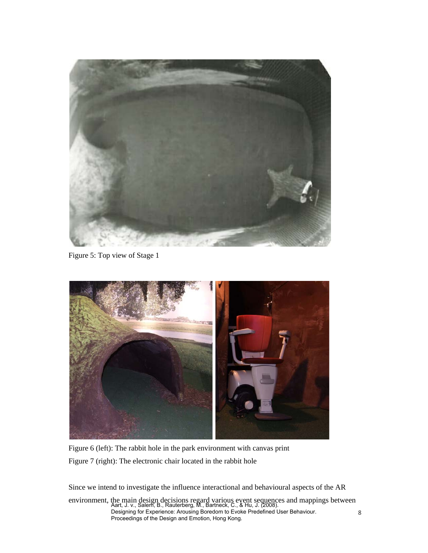

Figure 5: Top view of Stage 1



Figure 6 (left): The rabbit hole in the park environment with canvas print Figure 7 (right): The electronic chair located in the rabbit hole

Since we intend to investigate the influence interactional and behavioural aspects of the AR

environment, the main design decisions regard various event sequences and mappings between Aart, J. v., Salem, B., Rauterberg, M., Bartneck, C., & Hu, J. (2008). Designing for Experience: Arousing Boredom to Evoke Predefined User Behaviour. Proceedings of the Design and Emotion, Hong Kong.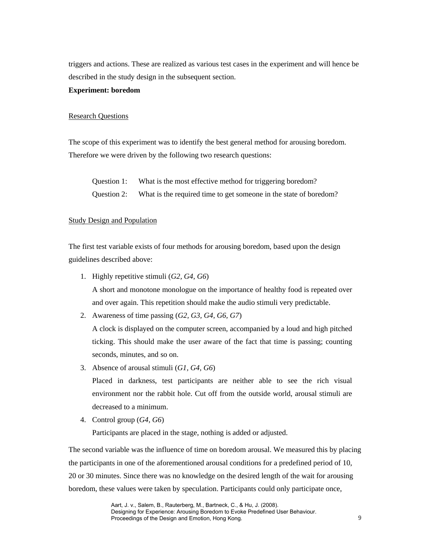triggers and actions. These are realized as various test cases in the experiment and will hence be described in the study design in the subsequent section.

#### **Experiment: boredom**

### Research Questions

The scope of this experiment was to identify the best general method for arousing boredom. Therefore we were driven by the following two research questions:

Question 1: What is the most effective method for triggering boredom?

Question 2: What is the required time to get someone in the state of boredom?

## Study Design and Population

The first test variable exists of four methods for arousing boredom, based upon the design guidelines described above:

- 1. Highly repetitive stimuli (*G2, G4, G6*) A short and monotone monologue on the importance of healthy food is repeated over and over again. This repetition should make the audio stimuli very predictable.
- 2. Awareness of time passing (*G2, G3, G4, G6, G7*)

A clock is displayed on the computer screen, accompanied by a loud and high pitched ticking. This should make the user aware of the fact that time is passing; counting seconds, minutes, and so on.

3. Absence of arousal stimuli (*G1, G4, G6*)

Placed in darkness, test participants are neither able to see the rich visual environment nor the rabbit hole. Cut off from the outside world, arousal stimuli are decreased to a minimum.

4. Control group (*G4, G6*)

Participants are placed in the stage, nothing is added or adjusted.

The second variable was the influence of time on boredom arousal. We measured this by placing the participants in one of the aforementioned arousal conditions for a predefined period of 10, 20 or 30 minutes. Since there was no knowledge on the desired length of the wait for arousing boredom, these values were taken by speculation. Participants could only participate once,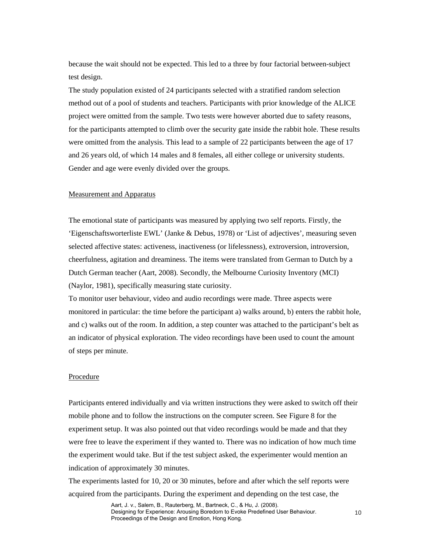because the wait should not be expected. This led to a three by four factorial between-subject test design.

The study population existed of 24 participants selected with a stratified random selection method out of a pool of students and teachers. Participants with prior knowledge of the ALICE project were omitted from the sample. Two tests were however aborted due to safety reasons, for the participants attempted to climb over the security gate inside the rabbit hole. These results were omitted from the analysis. This lead to a sample of 22 participants between the age of 17 and 26 years old, of which 14 males and 8 females, all either college or university students. Gender and age were evenly divided over the groups.

#### Measurement and Apparatus

The emotional state of participants was measured by applying two self reports. Firstly, the 'Eigenschaftsworterliste EWL' (Janke & Debus, 1978) or 'List of adjectives', measuring seven selected affective states: activeness, inactiveness (or lifelessness), extroversion, introversion, cheerfulness, agitation and dreaminess. The items were translated from German to Dutch by a Dutch German teacher (Aart, 2008). Secondly, the Melbourne Curiosity Inventory (MCI) (Naylor, 1981), specifically measuring state curiosity.

To monitor user behaviour, video and audio recordings were made. Three aspects were monitored in particular: the time before the participant a) walks around, b) enters the rabbit hole, and c) walks out of the room. In addition, a step counter was attached to the participant's belt as an indicator of physical exploration. The video recordings have been used to count the amount of steps per minute.

### **Procedure**

Participants entered individually and via written instructions they were asked to switch off their mobile phone and to follow the instructions on the computer screen. See Figure 8 for the experiment setup. It was also pointed out that video recordings would be made and that they were free to leave the experiment if they wanted to. There was no indication of how much time the experiment would take. But if the test subject asked, the experimenter would mention an indication of approximately 30 minutes.

The experiments lasted for 10, 20 or 30 minutes, before and after which the self reports were acquired from the participants. During the experiment and depending on the test case, the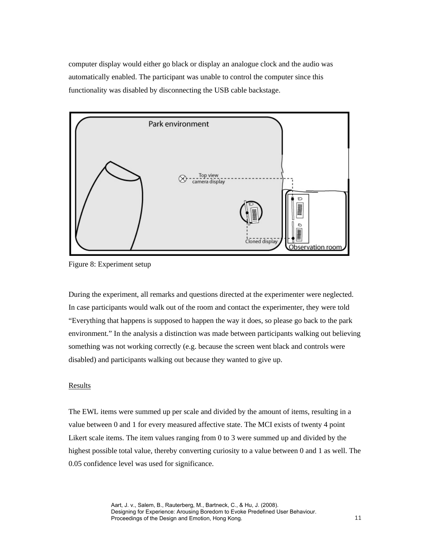computer display would either go black or display an analogue clock and the audio was automatically enabled. The participant was unable to control the computer since this functionality was disabled by disconnecting the USB cable backstage.



Figure 8: Experiment setup

During the experiment, all remarks and questions directed at the experimenter were neglected. In case participants would walk out of the room and contact the experimenter, they were told "Everything that happens is supposed to happen the way it does, so please go back to the park environment." In the analysis a distinction was made between participants walking out believing something was not working correctly (e.g. because the screen went black and controls were disabled) and participants walking out because they wanted to give up.

## **Results**

The EWL items were summed up per scale and divided by the amount of items, resulting in a value between 0 and 1 for every measured affective state. The MCI exists of twenty 4 point Likert scale items. The item values ranging from 0 to 3 were summed up and divided by the highest possible total value, thereby converting curiosity to a value between 0 and 1 as well. The 0.05 confidence level was used for significance.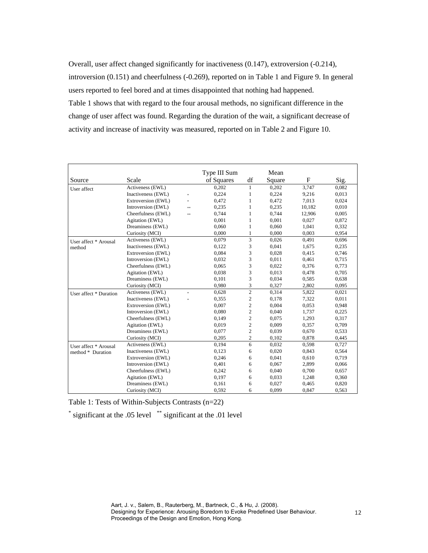Overall, user affect changed significantly for inactiveness (0.147), extroversion (-0.214), introversion (0.151) and cheerfulness (-0.269), reported on in Table 1 and Figure 9. In general users reported to feel bored and at times disappointed that nothing had happened. Table 1 shows that with regard to the four arousal methods, no significant difference in the change of user affect was found. Regarding the duration of the wait, a significant decrease of activity and increase of inactivity was measured, reported on in Table 2 and Figure 10.

|                        |                    |        | Type III Sum |                | Mean   |        |       |
|------------------------|--------------------|--------|--------------|----------------|--------|--------|-------|
| Source                 | Scale              |        | of Squares   | df             | Square | F      | Sig.  |
| User affect            | Activeness (EWL)   |        | 0,202        | 1              | 0,202  | 3,747  | 0,082 |
|                        | Inactiveness (EWL) | ×.     | 0.224        | 1              | 0,224  | 9,216  | 0,013 |
|                        | Extroversion (EWL) | $\pm$  | 0.472        | 1              | 0,472  | 7,013  | 0,024 |
|                        | Introversion (EWL) | **     | 0,235        | 1              | 0,235  | 10,182 | 0,010 |
|                        | Cheerfulness (EWL) | **     | 0,744        | $\mathbf{1}$   | 0,744  | 12,906 | 0,005 |
|                        | Agitation (EWL)    |        | 0.001        | 1              | 0.001  | 0.027  | 0,872 |
|                        | Dreaminess (EWL)   |        | 0,060        | 1              | 0,060  | 1,041  | 0,332 |
|                        | Curiosity (MCI)    |        | 0.000        | 1              | 0,000  | 0.003  | 0,954 |
| User affect * Arousal  | Activeness (EWL)   |        | 0.079        | 3              | 0,026  | 0,491  | 0.696 |
| method                 | Inactiveness (EWL) |        | 0.122        | 3              | 0.041  | 1.675  | 0,235 |
|                        | Extroversion (EWL) |        | 0.084        | 3              | 0,028  | 0,415  | 0,746 |
|                        | Introversion (EWL) |        | 0.032        | 3              | 0,011  | 0,461  | 0,715 |
|                        | Cheerfulness (EWL) |        | 0.065        | 3              | 0,022  | 0,376  | 0,773 |
|                        | Agitation (EWL)    |        | 0.038        | 3              | 0.013  | 0.478  | 0,705 |
|                        | Dreaminess (EWL)   |        | 0,101        | 3              | 0,034  | 0,585  | 0,638 |
|                        | Curiosity (MCI)    |        | 0.980        | 3              | 0,327  | 2,802  | 0,095 |
| User affect * Duration | Activeness (EWL)   | $\ast$ | 0.628        | $\overline{2}$ | 0,314  | 5,822  | 0,021 |
|                        | Inactiveness (EWL) | ×.     | 0,355        | $\overline{c}$ | 0.178  | 7,322  | 0,011 |
|                        | Extroversion (EWL) |        | 0,007        | $\overline{c}$ | 0,004  | 0,053  | 0,948 |
|                        | Introversion (EWL) |        | 0.080        | $\mathbf{2}$   | 0,040  | 1,737  | 0,225 |
|                        | Cheerfulness (EWL) |        | 0,149        | $\overline{c}$ | 0,075  | 1.293  | 0,317 |
|                        | Agitation (EWL)    |        | 0.019        | $\overline{c}$ | 0,009  | 0,357  | 0,709 |
|                        | Dreaminess (EWL)   |        | 0,077        | $\mathfrak{2}$ | 0,039  | 0,670  | 0,533 |
|                        | Curiosity (MCI)    |        | 0,205        | $\overline{c}$ | 0,102  | 0.878  | 0,445 |
| User affect * Arousal  | Activeness (EWL)   |        | 0.194        | 6              | 0.032  | 0,598  | 0,727 |
| method * Duration      | Inactiveness (EWL) |        | 0,123        | 6              | 0,020  | 0,843  | 0,564 |
|                        | Extroversion (EWL) |        | 0,246        | 6              | 0,041  | 0.610  | 0,719 |
|                        | Introversion (EWL) |        | 0,401        | 6              | 0,067  | 2,899  | 0,066 |
|                        | Cheerfulness (EWL) |        | 0,242        | 6              | 0,040  | 0.700  | 0,657 |
|                        | Agitation (EWL)    |        | 0,197        | 6              | 0,033  | 1,248  | 0,360 |
|                        | Dreaminess (EWL)   |        | 0,161        | 6              | 0,027  | 0,465  | 0,820 |
|                        | Curiosity (MCI)    |        | 0,592        | 6              | 0,099  | 0,847  | 0,563 |

Table 1: Tests of Within-Subjects Contrasts (n=22)

\* significant at the .05 level \*\* significant at the .01 level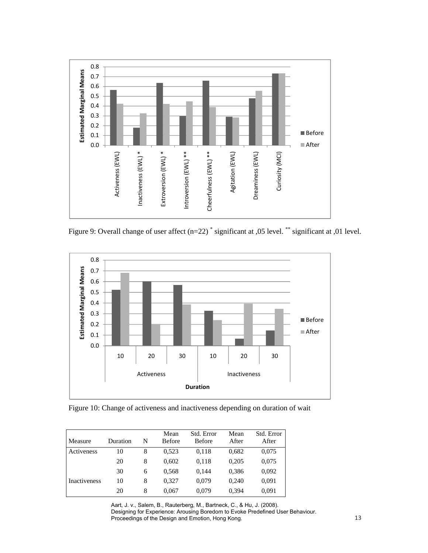

Figure 9: Overall change of user affect  $(n=22)$ <sup>\*</sup> significant at ,05 level.<sup>\*\*</sup> significant at ,01 level.



Figure 10: Change of activeness and inactiveness depending on duration of wait

| Measure             | Duration | N | Mean<br><b>Before</b> | Std. Error<br><b>Before</b> | Mean<br>After | Std. Error<br>After |
|---------------------|----------|---|-----------------------|-----------------------------|---------------|---------------------|
| Activeness          | 10       | 8 | 0.523                 | 0,118                       | 0,682         | 0,075               |
|                     | 20       | 8 | 0,602                 | 0,118                       | 0,205         | 0,075               |
|                     | 30       | 6 | 0,568                 | 0.144                       | 0,386         | 0,092               |
| <b>Inactiveness</b> | 10       | 8 | 0.327                 | 0,079                       | 0.240         | 0,091               |
|                     | 20       | 8 | 0,067                 | 0,079                       | 0,394         | 0,091               |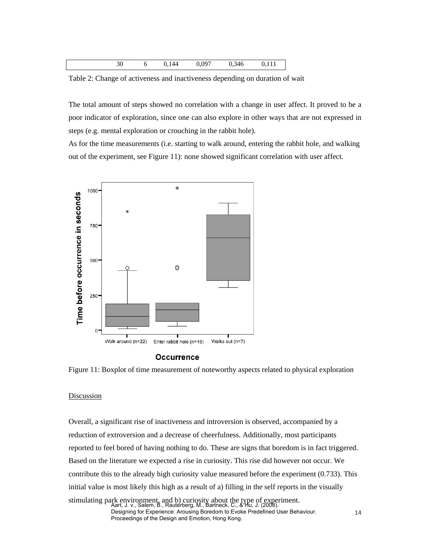| 30 | 44 | 097 | 346 | . |
|----|----|-----|-----|---|
|    |    |     |     |   |

Table 2: Change of activeness and inactiveness depending on duration of wait

The total amount of steps showed no correlation with a change in user affect. It proved to be a poor indicator of exploration, since one can also explore in other ways that are not expressed in steps (e.g. mental exploration or crouching in the rabbit hole).

As for the time measurements (i.e. starting to walk around, entering the rabbit hole, and walking out of the experiment, see Figure 11): none showed significant correlation with user affect.



#### **Occurrence**



## Discussion

Overall, a significant rise of inactiveness and introversion is observed, accompanied by a reduction of extroversion and a decrease of cheerfulness. Additionally, most participants reported to feel bored of having nothing to do. These are signs that boredom is in fact triggered. Based on the literature we expected a rise in curiosity. This rise did however not occur. We contribute this to the already high curiosity value measured before the experiment (0.733). This initial value is most likely this high as a result of a) filling in the self reports in the visually stimulating park environment, and b) curiosity about the type of experiment. Aart, J. v., Salem, B., Rauterberg, M., Bartneck, C., & Hu, J. (2008).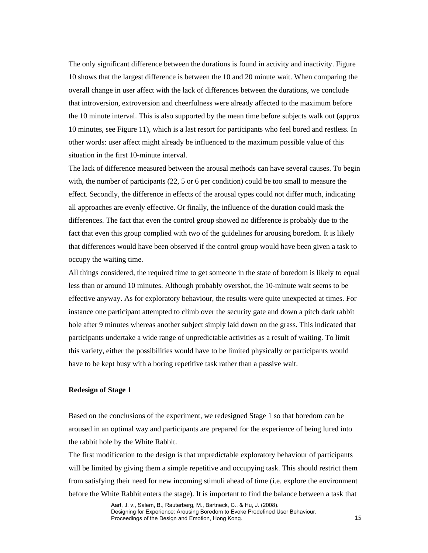The only significant difference between the durations is found in activity and inactivity. Figure 10 shows that the largest difference is between the 10 and 20 minute wait. When comparing the overall change in user affect with the lack of differences between the durations, we conclude that introversion, extroversion and cheerfulness were already affected to the maximum before the 10 minute interval. This is also supported by the mean time before subjects walk out (approx 10 minutes, see Figure 11), which is a last resort for participants who feel bored and restless. In other words: user affect might already be influenced to the maximum possible value of this situation in the first 10-minute interval.

The lack of difference measured between the arousal methods can have several causes. To begin with, the number of participants (22, 5 or 6 per condition) could be too small to measure the effect. Secondly, the difference in effects of the arousal types could not differ much, indicating all approaches are evenly effective. Or finally, the influence of the duration could mask the differences. The fact that even the control group showed no difference is probably due to the fact that even this group complied with two of the guidelines for arousing boredom. It is likely that differences would have been observed if the control group would have been given a task to occupy the waiting time.

All things considered, the required time to get someone in the state of boredom is likely to equal less than or around 10 minutes. Although probably overshot, the 10-minute wait seems to be effective anyway. As for exploratory behaviour, the results were quite unexpected at times. For instance one participant attempted to climb over the security gate and down a pitch dark rabbit hole after 9 minutes whereas another subject simply laid down on the grass. This indicated that participants undertake a wide range of unpredictable activities as a result of waiting. To limit this variety, either the possibilities would have to be limited physically or participants would have to be kept busy with a boring repetitive task rather than a passive wait.

## **Redesign of Stage 1**

Based on the conclusions of the experiment, we redesigned Stage 1 so that boredom can be aroused in an optimal way and participants are prepared for the experience of being lured into the rabbit hole by the White Rabbit.

The first modification to the design is that unpredictable exploratory behaviour of participants will be limited by giving them a simple repetitive and occupying task. This should restrict them from satisfying their need for new incoming stimuli ahead of time (i.e. explore the environment before the White Rabbit enters the stage). It is important to find the balance between a task that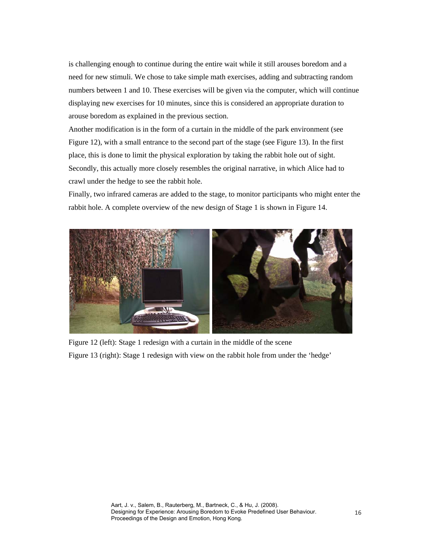is challenging enough to continue during the entire wait while it still arouses boredom and a need for new stimuli. We chose to take simple math exercises, adding and subtracting random numbers between 1 and 10. These exercises will be given via the computer, which will continue displaying new exercises for 10 minutes, since this is considered an appropriate duration to arouse boredom as explained in the previous section.

Another modification is in the form of a curtain in the middle of the park environment (see Figure 12), with a small entrance to the second part of the stage (see Figure 13). In the first place, this is done to limit the physical exploration by taking the rabbit hole out of sight. Secondly, this actually more closely resembles the original narrative, in which Alice had to crawl under the hedge to see the rabbit hole.

Finally, two infrared cameras are added to the stage, to monitor participants who might enter the rabbit hole. A complete overview of the new design of Stage 1 is shown in Figure 14.



Figure 12 (left): Stage 1 redesign with a curtain in the middle of the scene Figure 13 (right): Stage 1 redesign with view on the rabbit hole from under the 'hedge'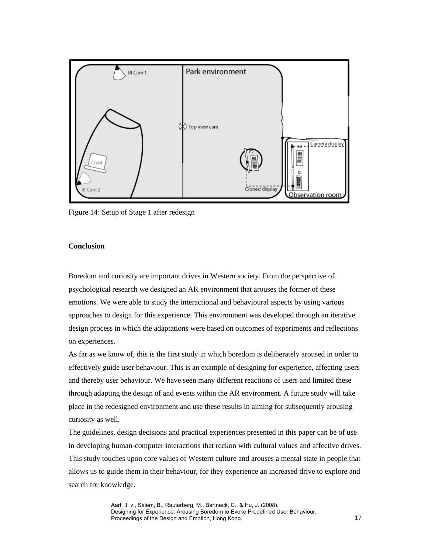

Figure 14: Setup of Stage 1 after redesign

## **Conclusion**

Boredom and curiosity are important drives in Western society. From the perspective of psychological research we designed an AR environment that arouses the former of these emotions. We were able to study the interactional and behavioural aspects by using various approaches to design for this experience. This environment was developed through an iterative design process in which the adaptations were based on outcomes of experiments and reflections on experiences.

As far as we know of, this is the first study in which boredom is deliberately aroused in order to effectively guide user behaviour. This is an example of designing for experience, affecting users and thereby user behaviour. We have seen many different reactions of users and limited these through adapting the design of and events within the AR environment. A future study will take place in the redesigned environment and use these results in aiming for subsequently arousing curiosity as well.

The guidelines, design decisions and practical experiences presented in this paper can be of use in developing human-computer interactions that reckon with cultural values and affective drives. This study touches upon core values of Western culture and arouses a mental state in people that allows us to guide them in their behaviour, for they experience an increased drive to explore and search for knowledge.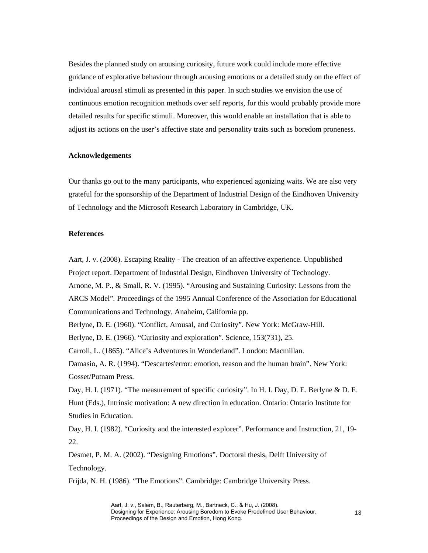Besides the planned study on arousing curiosity, future work could include more effective guidance of explorative behaviour through arousing emotions or a detailed study on the effect of individual arousal stimuli as presented in this paper. In such studies we envision the use of continuous emotion recognition methods over self reports, for this would probably provide more detailed results for specific stimuli. Moreover, this would enable an installation that is able to adjust its actions on the user's affective state and personality traits such as boredom proneness.

## **Acknowledgements**

Our thanks go out to the many participants, who experienced agonizing waits. We are also very grateful for the sponsorship of the Department of Industrial Design of the Eindhoven University of Technology and the Microsoft Research Laboratory in Cambridge, UK.

#### **References**

Aart, J. v. (2008). Escaping Reality - The creation of an affective experience. Unpublished Project report. Department of Industrial Design, Eindhoven University of Technology. Arnone, M. P., & Small, R. V. (1995). "Arousing and Sustaining Curiosity: Lessons from the ARCS Model"*.* Proceedings of the 1995 Annual Conference of the Association for Educational Communications and Technology, Anaheim, California pp. Berlyne, D. E. (1960). "Conflict, Arousal, and Curiosity". New York: McGraw-Hill. Berlyne, D. E. (1966). "Curiosity and exploration". Science*,* 153(731), 25. Carroll, L. (1865). "Alice's Adventures in Wonderland". London: Macmillan. Damasio, A. R. (1994). "Descartes'error: emotion, reason and the human brain". New York: Gosset/Putnam Press. Day, H. I. (1971). "The measurement of specific curiosity". In H. I. Day, D. E. Berlyne & D. E.

Hunt (Eds.), Intrinsic motivation: A new direction in education. Ontario: Ontario Institute for Studies in Education.

Day, H. I. (1982). "Curiosity and the interested explorer". Performance and Instruction*,* 21, 19- 22.

Desmet, P. M. A. (2002). "Designing Emotions"*.* Doctoral thesis, Delft University of Technology.

Frijda, N. H. (1986). "The Emotions". Cambridge: Cambridge University Press.